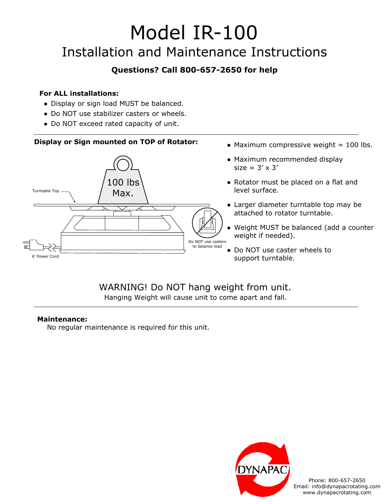# Model IR-100 Installation and Maintenance Instructions

## **Questions? Call 800-657-2650 for help**

### **For ALL installations:**

- Display or sign load MUST be balanced.
- Do NOT use stabilizer casters or wheels.
- Do NOT exceed rated capacity of unit.

## **Display or Sign mounted on TOP of Rotator:**



- $\bullet$  Maximum compressive weight = 100 lbs.
- Maximum recommended display size =  $3' \times 3'$
- Rotator must be placed on a flat and level surface.
- Larger diameter turntable top may be attached to rotator turntable.
- Weight MUST be balanced (add a counter weight if needed).
- Do NOT use caster wheels to support turntable.

## WARNING! Do NOT hang weight from unit. Hanging Weight will cause unit to come apart and fall.

#### **Maintenance:**

No regular maintenance is required for this unit.